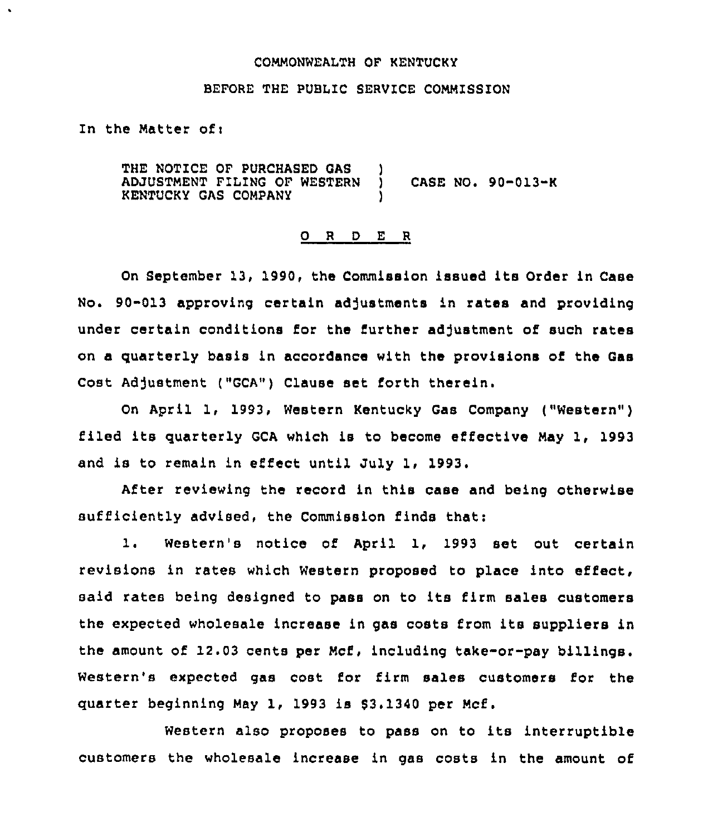### COMMONWEALTH OF KENTUCKY

## BEFORE THE PUBLIC SERVICE COMMISSION

In the Matter of  $<sub>i</sub>$ </sub>

 $\bullet$ 

THE NOTICE OF PURCHASED GAS )<br>ADJUSTMENT FILING OF WESTERN ) ADJUSTMENT FILING OF WESTERN ) CASE NO. 90-013-K KENTUCKY GAS COMPANY

# 0 <sup>R</sup> <sup>D</sup> <sup>E</sup> <sup>R</sup>

On September 13, 1990, the Commission issued its Order in Case No. 90-013 approving certain adjustments in rates and providing under certain conditions for the further adjustment of such rates on a quarterly basis in accordance with the provisions of the Gas Cost Adjustment ("GCA") Clause set forth therein.

On April 1, 1993, Western Kentucky Gas Company ("Western" ) filed its quarterly GCA which is to become effective May 1, 1993 and is to remain in effect until July 1, 1993.

After reviewing the record in this case and being otherwise sufficiently advised, the Commission finds that:

1. Western's notice of April 1, <sup>1993</sup> set out certain revisions in rates which Western proposed to place into effect, said rates being designed to pass on to its firm sales customers the expected wholesale increase in gas costs from its suppliers in the amount of 12.03 cents per Mcf, including take-or-pay billings. Western's expected gas cost for firm sales customers for the quarter beginning May 1, 1993 is 93.1340 per Mcf.

Western also proposes to pass on to its interruptible customers the wholesale increase in gas costs in the amount of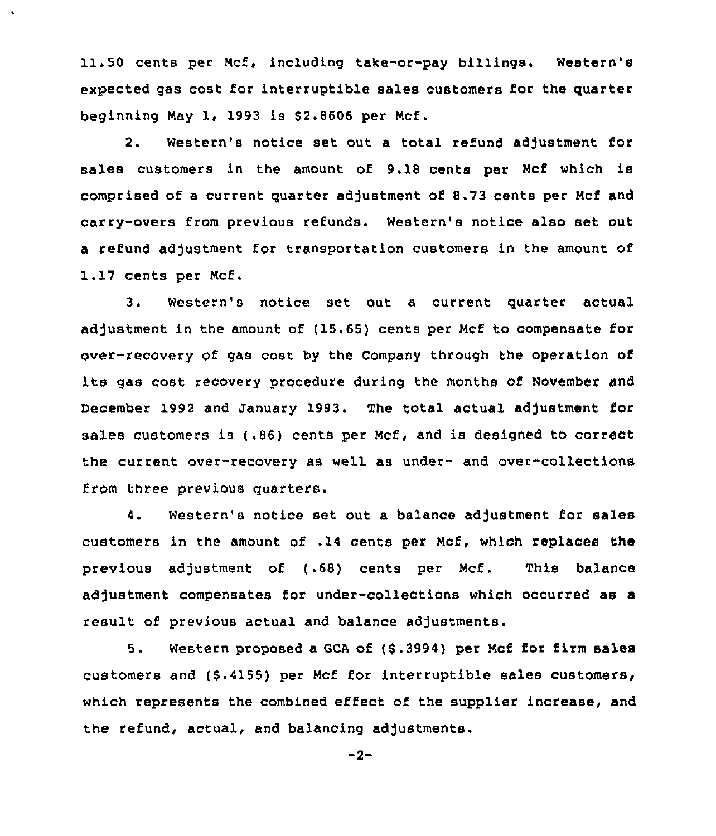11.50 cents per Ncf, including take-or-pay billings. Western's expected gas cost for interruptible sales customers for the quarter beginning May 1, 1993 is  $$2.8606$  per Mcf.

2. Western's notice set out a total refund adjustment for sales customers in the amount of 9.18 cents per Mcf which is comprised of a current quarter adjustment of 8.73 cents per Mcf and carry-overs from previous refunds. Western's notice also set out a refund adjustment for transportation customers in the amount of 1.17 cents per Mcf,

3. Western's notice set out a current quarter actual adjustment in the amount of ( 15.65) cents per Mcf to compensate for over-recovery ot gas cost by the Company through the operation of its gas cost recovery procedure during the months of November and December 1992 and January 1993, The total actual adjustment for sales customers is (.86) cents per Mcf, and is designed to correct the current over-recovery as well as under- and over-collections from three previous quarters.

4. Western's notice set out a balance adjustment for sales customers in the amount of ,14 cents per Mcf, which replaces the previous adjustment of (.68) cents per Mcf. This balance adjustment compensates for under-collections which occurred as a result of previous actual and balance adjustments.

5. Western proposed <sup>a</sup> GCA of (\$ .3994) per Mcf for firm sales customers and (\$.4155) per Mcf for interruptible sales customers, which represents the combined effect of the supplier increase, and the refund, actual, and balancing adjustments.

 $-2-$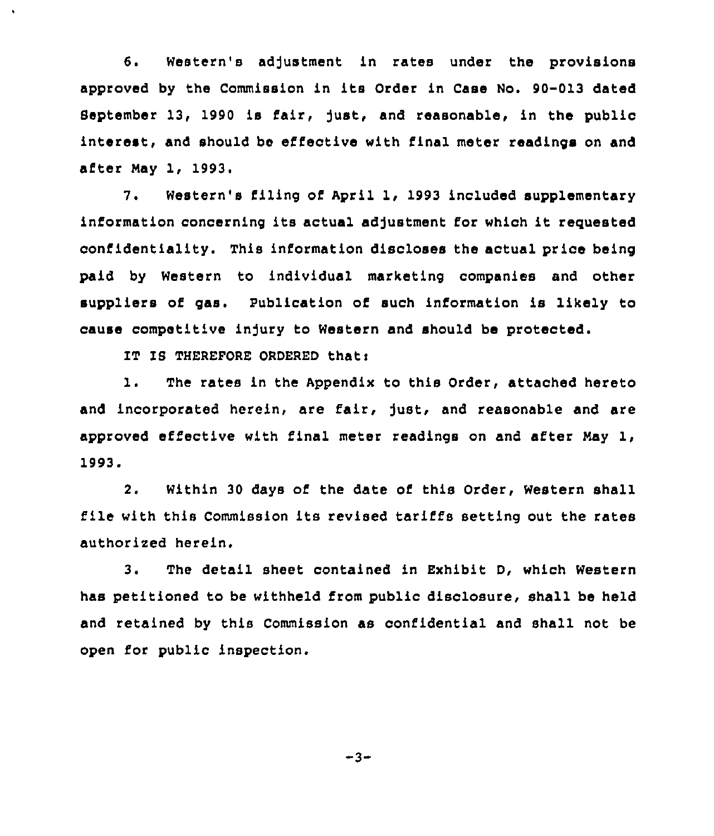6. Western's adjustment in rates under the provisions approved by the Commission in its Order in Case No. 90-013 dated September 13, 1990 is fair, just, and reasonable, in the public interest, and should be effective with final meter readings on and after Nay 1, 1993.

7. Western's filing of April 1, 1993 included supplementary information concerning its actual adjustment for which it requested confidentiality. This information discloses the actual price being paid by Western to individual marketing companies and other suppliers of gas. Publication of such information is likely to cause competitive injury to Western and should be protected.

IT IS THEREFORE ORDERED that:

1. The rates in the Appendix to this Order, attached hereto and incorporated herein, are fair, just, and reasonable and are approved effective with final meter readings on and after Nay 1, 1993.

2. Within 30 days of the date of this Order, Western shall file with this Commission its revised tariffs setting out the rates authorized herein.

3. The detail sheet contained in Exhibit D, which Western has petitioned to be withheld from public disclosure, shall be held and retained by this Commission as confidential and shall not be open for public inspection.

 $-3-$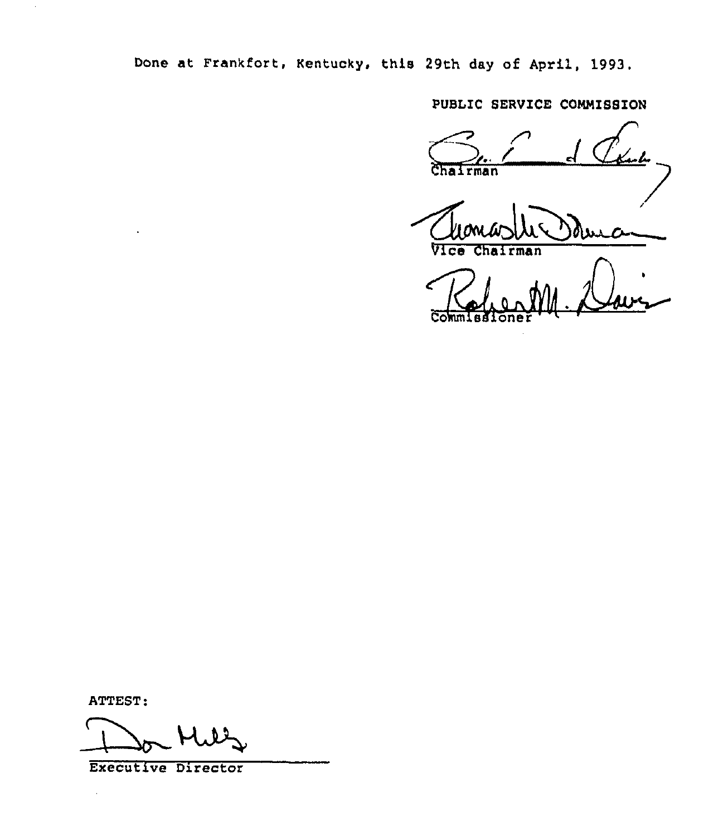Done at Frankfort, Kentucky, this 29th day of April, 1993.

PUBLIC SERVICE COMMISSION

أح ylan hu irman

/ <u> durc</u>

airman

Cok

ATTEST:

 $\ddot{\phantom{a}}$ 

Do Mils

Executive Director